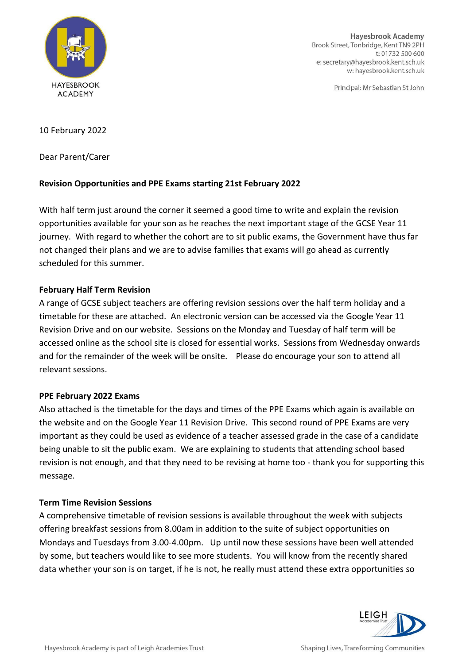

**Hayesbrook Academy** Brook Street, Tonbridge, Kent TN9 2PH t: 01732 500 600 e: secretary@hayesbrook.kent.sch.uk w: hayesbrook.kent.sch.uk

Principal: Mr Sebastian St John

10 February 2022

Dear Parent/Carer

# **Revision Opportunities and PPE Exams starting 21st February 2022**

With half term just around the corner it seemed a good time to write and explain the revision opportunities available for your son as he reaches the next important stage of the GCSE Year 11 journey. With regard to whether the cohort are to sit public exams, the Government have thus far not changed their plans and we are to advise families that exams will go ahead as currently scheduled for this summer.

# **February Half Term Revision**

A range of GCSE subject teachers are offering revision sessions over the half term holiday and a timetable for these are attached. An electronic version can be accessed via the Google Year 11 Revision Drive and on our website. Sessions on the Monday and Tuesday of half term will be accessed online as the school site is closed for essential works. Sessions from Wednesday onwards and for the remainder of the week will be onsite. Please do encourage your son to attend all relevant sessions.

### **PPE February 2022 Exams**

Also attached is the timetable for the days and times of the PPE Exams which again is available on the website and on the Google Year 11 Revision Drive. This second round of PPE Exams are very important as they could be used as evidence of a teacher assessed grade in the case of a candidate being unable to sit the public exam. We are explaining to students that attending school based revision is not enough, and that they need to be revising at home too - thank you for supporting this message.

### **Term Time Revision Sessions**

A comprehensive timetable of revision sessions is available throughout the week with subjects offering breakfast sessions from 8.00am in addition to the suite of subject opportunities on Mondays and Tuesdays from 3.00-4.00pm. Up until now these sessions have been well attended by some, but teachers would like to see more students. You will know from the recently shared data whether your son is on target, if he is not, he really must attend these extra opportunities so